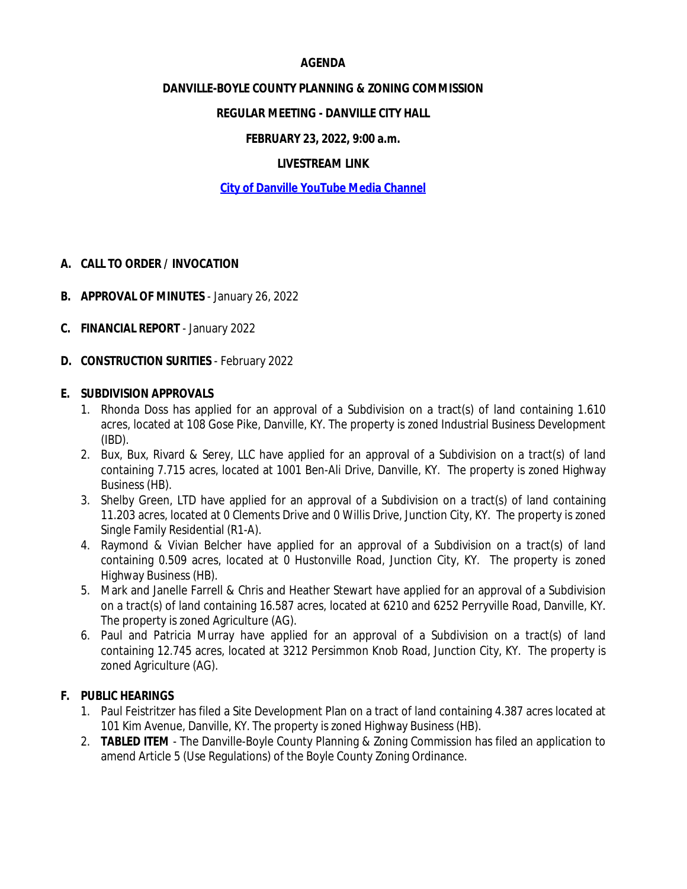#### **AGENDA**

#### **DANVILLE-BOYLE COUNTY PLANNING & ZONING COMMISSION**

## **REGULAR MEETING - DANVILLE CITY HALL**

## **FEBRUARY 23, 2022, 9:00 a.m.**

## **LIVESTREAM LINK**

## **[City of Danville YouTube Media Channel](https://www.youtube.com/channel/UCBuznWQJHvZrva5l2GVwV9g)**

#### **A. CALL TO ORDER / INVOCATION**

- **B. APPROVAL OF MINUTES** January 26, 2022
- **C. FINANCIAL REPORT**  January 2022
- **D. CONSTRUCTION SURITIES** February 2022

#### **E. SUBDIVISION APPROVALS**

- 1. Rhonda Doss has applied for an approval of a Subdivision on a tract(s) of land containing 1.610 acres, located at 108 Gose Pike, Danville, KY. The property is zoned Industrial Business Development (IBD).
- 2. Bux, Bux, Rivard & Serey, LLC have applied for an approval of a Subdivision on a tract(s) of land containing 7.715 acres, located at 1001 Ben-Ali Drive, Danville, KY. The property is zoned Highway Business (HB).
- 3. Shelby Green, LTD have applied for an approval of a Subdivision on a tract(s) of land containing 11.203 acres, located at 0 Clements Drive and 0 Willis Drive, Junction City, KY. The property is zoned Single Family Residential (R1-A).
- 4. Raymond & Vivian Belcher have applied for an approval of a Subdivision on a tract(s) of land containing 0.509 acres, located at 0 Hustonville Road, Junction City, KY. The property is zoned Highway Business (HB).
- 5. Mark and Janelle Farrell & Chris and Heather Stewart have applied for an approval of a Subdivision on a tract(s) of land containing 16.587 acres, located at 6210 and 6252 Perryville Road, Danville, KY. The property is zoned Agriculture (AG).
- 6. Paul and Patricia Murray have applied for an approval of a Subdivision on a tract(s) of land containing 12.745 acres, located at 3212 Persimmon Knob Road, Junction City, KY. The property is zoned Agriculture (AG).

## **F. PUBLIC HEARINGS**

- 1. Paul Feistritzer has filed a Site Development Plan on a tract of land containing 4.387 acres located at 101 Kim Avenue, Danville, KY. The property is zoned Highway Business (HB).
- 2. *TABLED ITEM* The Danville-Boyle County Planning & Zoning Commission has filed an application to amend Article 5 (Use Regulations) of the Boyle County Zoning Ordinance.